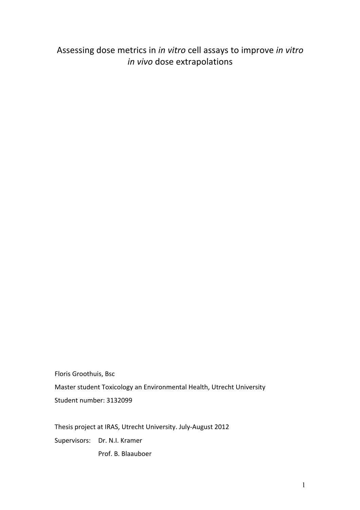Assessing dose metrics in *in vitro* cell assays to improve *in vitro in vivo* dose extrapolations

Floris Groothuis, Bsc Master student Toxicology an Environmental Health, Utrecht University Student number: 3132099

Thesis project at IRAS, Utrecht University. July-August 2012

Supervisors: Dr. N.I. Kramer

Prof. B. Blaauboer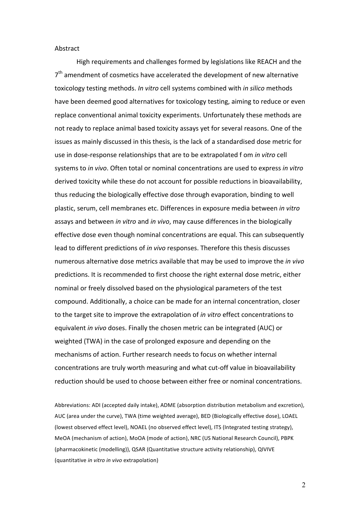### Abstract

High requirements and challenges formed by legislations like REACH and the  $7<sup>th</sup>$  amendment of cosmetics have accelerated the development of new alternative toxicology testing methods. *In vitro* cell systems combined with *in silico* methods have been deemed good alternatives for toxicology testing, aiming to reduce or even replace conventional animal toxicity experiments. Unfortunately these methods are not ready to replace animal based toxicity assays yet for several reasons. One of the issues as mainly discussed in this thesis, is the lack of a standardised dose metric for use in dose-response relationships that are to be extrapolated f om *in vitro* cell systems to *in vivo*. Often total or nominal concentrations are used to express *in vitro* derived toxicity while these do not account for possible reductions in bioavailability, thus reducing the biologically effective dose through evaporation, binding to well plastic, serum, cell membranes etc. Differences in exposure media between in vitro assays and between *in vitro* and *in vivo*, may cause differences in the biologically effective dose even though nominal concentrations are equal. This can subsequently lead to different predictions of *in vivo* responses. Therefore this thesis discusses numerous alternative dose metrics available that may be used to improve the *in vivo* predictions. It is recommended to first choose the right external dose metric, either nominal or freely dissolved based on the physiological parameters of the test compound. Additionally, a choice can be made for an internal concentration, closer to the target site to improve the extrapolation of *in vitro* effect concentrations to equivalent *in vivo* doses. Finally the chosen metric can be integrated (AUC) or weighted (TWA) in the case of prolonged exposure and depending on the mechanisms of action. Further research needs to focus on whether internal concentrations are truly worth measuring and what cut-off value in bioavailability reduction should be used to choose between either free or nominal concentrations.

Abbreviations: ADI (accepted daily intake), ADME (absorption distribution metabolism and excretion), AUC (area under the curve), TWA (time weighted average), BED (Biologically effective dose), LOAEL (lowest observed effect level), NOAEL (no observed effect level), ITS (Integrated testing strategy), MeOA (mechanism of action), MoOA (mode of action), NRC (US National Research Council), PBPK (pharmacokinetic (modelling)), QSAR (Quantitative structure activity relationship), QIVIVE (quantitative *in vitro in vivo* extrapolation)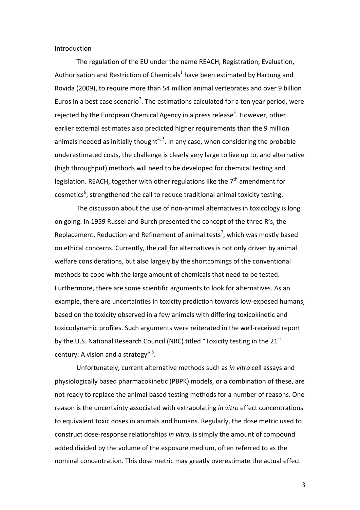#### Introduction

The regulation of the EU under the name REACH, Registration, Evaluation, Authorisation and Restriction of Chemicals<sup>1</sup> have been estimated by Hartung and Rovida (2009), to require more than 54 million animal vertebrates and over 9 billion Euros in a best case scenario<sup>2</sup>. The estimations calculated for a ten year period, were rejected by the European Chemical Agency in a press release<sup>3</sup>. However, other earlier external estimates also predicted higher requirements than the 9 million animals needed as initially thought<sup>4, 5</sup>. In any case, when considering the probable underestimated costs, the challenge is clearly very large to live up to, and alternative (high throughput) methods will need to be developed for chemical testing and legislation. REACH, together with other regulations like the  $7<sup>th</sup>$  amendment for cosmetics<sup>6</sup>, strengthened the call to reduce traditional animal toxicity testing.

The discussion about the use of non-animal alternatives in toxicology is long on going. In 1959 Russel and Burch presented the concept of the three R's, the Replacement, Reduction and Refinement of animal tests<sup>7</sup>, which was mostly based on ethical concerns. Currently, the call for alternatives is not only driven by animal welfare considerations, but also largely by the shortcomings of the conventional methods to cope with the large amount of chemicals that need to be tested. Furthermore, there are some scientific arguments to look for alternatives. As an example, there are uncertainties in toxicity prediction towards low-exposed humans, based on the toxicity observed in a few animals with differing toxicokinetic and toxicodynamic profiles. Such arguments were reiterated in the well-received report by the U.S. National Research Council (NRC) titled "Toxicity testing in the  $21<sup>st</sup>$ century: A vision and a strategy"  $8$ .

Unfortunately, current alternative methods such as *in vitro* cell assays and physiologically based pharmacokinetic (PBPK) models, or a combination of these, are not ready to replace the animal based testing methods for a number of reasons. One reason is the uncertainty associated with extrapolating *in vitro* effect concentrations to equivalent toxic doses in animals and humans. Regularly, the dose metric used to construct dose-response relationships *in vitro*, is simply the amount of compound added divided by the volume of the exposure medium, often referred to as the nominal concentration. This dose metric may greatly overestimate the actual effect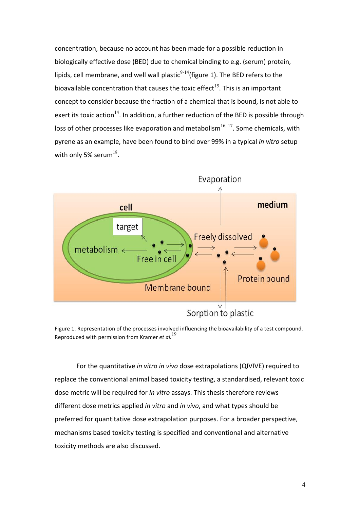concentration, because no account has been made for a possible reduction in biologically effective dose (BED) due to chemical binding to e.g. (serum) protein, lipids, cell membrane, and well wall plastic<sup>9-14</sup>(figure 1). The BED refers to the bioavailable concentration that causes the toxic effect<sup>15</sup>. This is an important concept to consider because the fraction of a chemical that is bound, is not able to exert its toxic action<sup>14</sup>. In addition, a further reduction of the BED is possible through loss of other processes like evaporation and metabolism<sup>16, 17</sup>. Some chemicals, with pyrene as an example, have been found to bind over 99% in a typical *in vitro* setup with only 5% serum<sup>18</sup>.



Figure 1. Representation of the processes involved influencing the bioavailability of a test compound. Reproduced with permission from Kramer *et al.*<sup>19</sup>

For the quantitative *in vitro in vivo* dose extrapolations (QIVIVE) required to replace the conventional animal based toxicity testing, a standardised, relevant toxic dose metric will be required for *in vitro* assays. This thesis therefore reviews different dose metrics applied *in vitro* and *in vivo*, and what types should be preferred for quantitative dose extrapolation purposes. For a broader perspective, mechanisms based toxicity testing is specified and conventional and alternative toxicity methods are also discussed.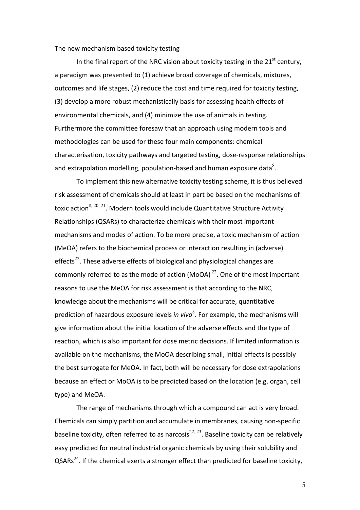#### The new mechanism based toxicity testing

In the final report of the NRC vision about toxicity testing in the  $21<sup>st</sup>$  century, a paradigm was presented to (1) achieve broad coverage of chemicals, mixtures, outcomes and life stages, (2) reduce the cost and time required for toxicity testing, (3) develop a more robust mechanistically basis for assessing health effects of environmental chemicals, and (4) minimize the use of animals in testing. Furthermore the committee foresaw that an approach using modern tools and methodologies can be used for these four main components: chemical characterisation, toxicity pathways and targeted testing, dose-response relationships and extrapolation modelling, population-based and human exposure data<sup>8</sup>.

To implement this new alternative toxicity testing scheme, it is thus believed risk assessment of chemicals should at least in part be based on the mechanisms of toxic action<sup>8, 20, 21</sup>. Modern tools would include Quantitative Structure Activity Relationships (QSARs) to characterize chemicals with their most important mechanisms and modes of action. To be more precise, a toxic mechanism of action (MeOA) refers to the biochemical process or interaction resulting in (adverse) effects<sup>22</sup>. These adverse effects of biological and physiological changes are commonly referred to as the mode of action (MoOA)<sup>22</sup>. One of the most important reasons to use the MeOA for risk assessment is that according to the NRC, knowledge about the mechanisms will be critical for accurate, quantitative prediction of hazardous exposure levels *in vivo*<sup>8</sup>. For example, the mechanisms will give information about the initial location of the adverse effects and the type of reaction, which is also important for dose metric decisions. If limited information is available on the mechanisms, the MoOA describing small, initial effects is possibly the best surrogate for MeOA. In fact, both will be necessary for dose extrapolations because an effect or MoOA is to be predicted based on the location (e.g. organ, cell type) and MeOA.

The range of mechanisms through which a compound can act is very broad. Chemicals can simply partition and accumulate in membranes, causing non-specific baseline toxicity, often referred to as narcosis<sup>22, 23</sup>. Baseline toxicity can be relatively easy predicted for neutral industrial organic chemicals by using their solubility and  $\text{QSARS}^{24}$ . If the chemical exerts a stronger effect than predicted for baseline toxicity,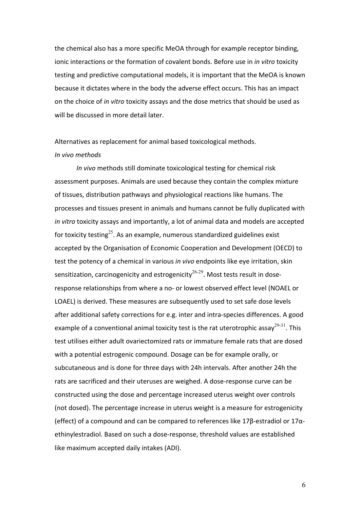the chemical also has a more specific MeOA through for example receptor binding, ionic interactions or the formation of covalent bonds. Before use in *in vitro* toxicity testing and predictive computational models, it is important that the MeOA is known because it dictates where in the body the adverse effect occurs. This has an impact on the choice of *in vitro* toxicity assays and the dose metrics that should be used as will be discussed in more detail later.

# Alternatives as replacement for animal based toxicological methods. *In vivo methods*

*In vivo* methods still dominate toxicological testing for chemical risk assessment purposes. Animals are used because they contain the complex mixture of tissues, distribution pathways and physiological reactions like humans. The processes and tissues present in animals and humans cannot be fully duplicated with *in vitro* toxicity assays and importantly, a lot of animal data and models are accepted for toxicity testing<sup>25</sup>. As an example, numerous standardized guidelines exist accepted by the Organisation of Economic Cooperation and Development (OECD) to test the potency of a chemical in various *in vivo* endpoints like eye irritation, skin sensitization, carcinogenicity and estrogenicity<sup>26-29</sup>. Most tests result in doseresponse relationships from where a no- or lowest observed effect level (NOAEL or LOAEL) is derived. These measures are subsequently used to set safe dose levels after additional safety corrections for e.g. inter and intra-species differences. A good example of a conventional animal toxicity test is the rat uterotrophic assay<sup>29-31</sup>. This test utilises either adult ovariectomized rats or immature female rats that are dosed with a potential estrogenic compound. Dosage can be for example orally, or subcutaneous and is done for three days with 24h intervals. After another 24h the rats are sacrificed and their uteruses are weighed. A dose-response curve can be constructed using the dose and percentage increased uterus weight over controls (not dosed). The percentage increase in uterus weight is a measure for estrogenicity (effect) of a compound and can be compared to references like 17β-estradiol or 17αethinylestradiol. Based on such a dose-response, threshold values are established like maximum accepted daily intakes (ADI).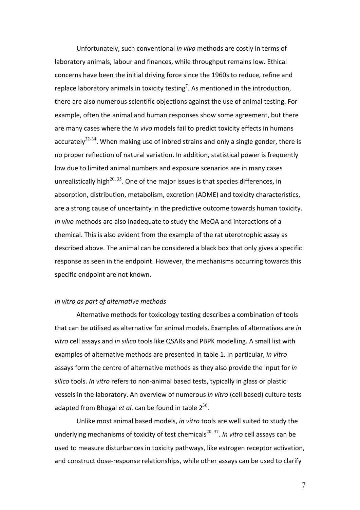Unfortunately, such conventional *in vivo* methods are costly in terms of laboratory animals, labour and finances, while throughput remains low. Ethical concerns have been the initial driving force since the 1960s to reduce, refine and replace laboratory animals in toxicity testing<sup>7</sup>. As mentioned in the introduction, there are also numerous scientific objections against the use of animal testing. For example, often the animal and human responses show some agreement, but there are many cases where the *in vivo* models fail to predict toxicity effects in humans accurately<sup>32-34</sup>. When making use of inbred strains and only a single gender, there is no proper reflection of natural variation. In addition, statistical power is frequently low due to limited animal numbers and exposure scenarios are in many cases unrealistically high<sup>20, 35</sup>. One of the major issues is that species differences, in absorption, distribution, metabolism, excretion (ADME) and toxicity characteristics, are a strong cause of uncertainty in the predictive outcome towards human toxicity. *In vivo* methods are also inadequate to study the MeOA and interactions of a chemical. This is also evident from the example of the rat uterotrophic assay as described above. The animal can be considered a black box that only gives a specific response as seen in the endpoint. However, the mechanisms occurring towards this specific endpoint are not known.

# *In vitro as part of alternative methods*

Alternative methods for toxicology testing describes a combination of tools that can be utilised as alternative for animal models. Examples of alternatives are in *vitro* cell assays and *in silico* tools like QSARs and PBPK modelling. A small list with examples of alternative methods are presented in table 1. In particular, *in vitro* assays form the centre of alternative methods as they also provide the input for *in* silico tools. *In vitro* refers to non-animal based tests, typically in glass or plastic vessels in the laboratory. An overview of numerous *in vitro* (cell based) culture tests adapted from Bhogal *et al.* can be found in table  $2^{36}$ .

Unlike most animal based models, *in vitro* tools are well suited to study the underlying mechanisms of toxicity of test chemicals<sup>20, 37</sup>. In vitro cell assays can be used to measure disturbances in toxicity pathways, like estrogen receptor activation, and construct dose-response relationships, while other assays can be used to clarify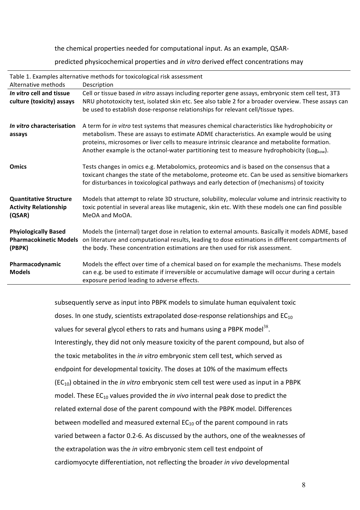the chemical properties needed for computational input. As an example, QSAR-

predicted physicochemical properties and *in vitro* derived effect concentrations may

|                                                                         | Table 1. Examples alternative methods for toxicological risk assessment                                                                                                                                                                                                                                                                                                                               |
|-------------------------------------------------------------------------|-------------------------------------------------------------------------------------------------------------------------------------------------------------------------------------------------------------------------------------------------------------------------------------------------------------------------------------------------------------------------------------------------------|
| Alternative methods                                                     | Description                                                                                                                                                                                                                                                                                                                                                                                           |
| In vitro cell and tissue                                                | Cell or tissue based in vitro assays including reporter gene assays, embryonic stem cell test, 3T3                                                                                                                                                                                                                                                                                                    |
| culture (toxicity) assays                                               | NRU phototoxicity test, isolated skin etc. See also table 2 for a broader overview. These assays can                                                                                                                                                                                                                                                                                                  |
|                                                                         | be used to establish dose-response relationships for relevant cell/tissue types.                                                                                                                                                                                                                                                                                                                      |
| In vitro characterisation<br>assays                                     | A term for in vitro test systems that measures chemical characteristics like hydrophobicity or<br>metabolism. These are assays to estimate ADME characteristics. An example would be using<br>proteins, microsomes or liver cells to measure intrinsic clearance and metabolite formation.<br>Another example is the octanol-water partitioning test to measure hydrophobicity (Log <sub>kow</sub> ). |
| <b>Omics</b>                                                            | Tests changes in omics e.g. Metabolomics, proteomics and is based on the consensus that a<br>toxicant changes the state of the metabolome, proteome etc. Can be used as sensitive biomarkers<br>for disturbances in toxicological pathways and early detection of (mechanisms) of toxicity                                                                                                            |
| <b>Quantitative Structure</b><br><b>Activity Relationship</b><br>(QSAR) | Models that attempt to relate 3D structure, solubility, molecular volume and intrinsic reactivity to<br>toxic potential in several areas like mutagenic, skin etc. With these models one can find possible<br>MeOA and MoOA.                                                                                                                                                                          |
| <b>Phyiologically Based</b><br><b>Pharmacokinetic Models</b><br>(PBPK)  | Models the (internal) target dose in relation to external amounts. Basically it models ADME, based<br>on literature and computational results, leading to dose estimations in different compartments of<br>the body. These concentration estimations are then used for risk assessment.                                                                                                               |
| Pharmacodynamic<br><b>Models</b>                                        | Models the effect over time of a chemical based on for example the mechanisms. These models<br>can e.g. be used to estimate if irreversible or accumulative damage will occur during a certain<br>exposure period leading to adverse effects.                                                                                                                                                         |

subsequently serve as input into PBPK models to simulate human equivalent toxic doses. In one study, scientists extrapolated dose-response relationships and  $EC_{10}$ values for several glycol ethers to rats and humans using a PBPK model<sup>38</sup>. Interestingly, they did not only measure toxicity of the parent compound, but also of the toxic metabolites in the *in vitro* embryonic stem cell test, which served as endpoint for developmental toxicity. The doses at 10% of the maximum effects (EC<sub>10</sub>) obtained in the *in vitro* embryonic stem cell test were used as input in a PBPK model. These EC<sub>10</sub> values provided the *in vivo* internal peak dose to predict the related external dose of the parent compound with the PBPK model. Differences between modelled and measured external  $EC_{10}$  of the parent compound in rats varied between a factor 0.2-6. As discussed by the authors, one of the weaknesses of the extrapolation was the *in vitro* embryonic stem cell test endpoint of cardiomyocyte differentiation, not reflecting the broader *in vivo* developmental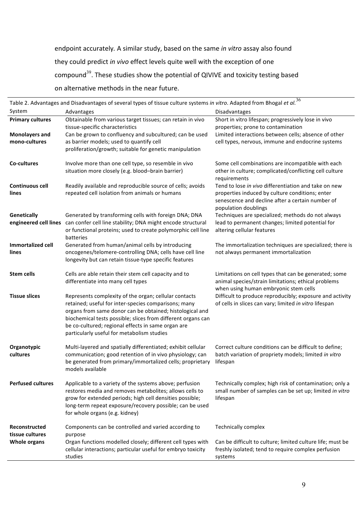endpoint accurately. A similar study, based on the same *in vitro* assay also found they could predict in vivo effect levels quite well with the exception of one compound<sup>39</sup>. These studies show the potential of QIVIVE and toxicity testing based on alternative methods in the near future.

| System<br><b>Primary cultures</b>      | Table 2. Advantages and Disadvantages of several types of tissue culture systems in vitro. Adapted from Bhogal et $\overline{al.^36}$<br>Advantages                                                                                                                                                                                           | Disadvantages                                                                                                                                         |
|----------------------------------------|-----------------------------------------------------------------------------------------------------------------------------------------------------------------------------------------------------------------------------------------------------------------------------------------------------------------------------------------------|-------------------------------------------------------------------------------------------------------------------------------------------------------|
|                                        |                                                                                                                                                                                                                                                                                                                                               |                                                                                                                                                       |
|                                        | Obtainable from various target tissues; can retain in vivo<br>tissue-specific characteristics                                                                                                                                                                                                                                                 | Short in vitro lifespan; progressively lose in vivo<br>properties; prone to contamination                                                             |
| <b>Monolayers and</b><br>mono-cultures | Can be grown to confluency and subcultured; can be used<br>as barrier models; used to quantify cell<br>proliferation/growth; suitable for genetic manipulation                                                                                                                                                                                | Limited interactions between cells; absence of other<br>cell types, nervous, immune and endocrine systems                                             |
| Co-cultures                            | Involve more than one cell type, so resemble in vivo<br>situation more closely (e.g. blood-brain barrier)                                                                                                                                                                                                                                     | Some cell combinations are incompatible with each<br>other in culture; complicated/conflicting cell culture<br>requirements                           |
| <b>Continuous cell</b><br>lines        | Readily available and reproducible source of cells; avoids<br>repeated cell isolation from animals or humans                                                                                                                                                                                                                                  | properties induced by culture conditions; enter<br>senescence and decline after a certain number of<br>population doublings                           |
| Genetically                            | Generated by transforming cells with foreign DNA; DNA<br>engineered cell lines can confer cell line stability; DNA might encode structural<br>or functional proteins; used to create polymorphic cell line<br>batteries                                                                                                                       | Techniques are specialized; methods do not always<br>lead to permanent changes; limited potential for<br>altering cellular features                   |
| <b>Immortalized cell</b><br>lines      | Generated from human/animal cells by introducing<br>oncogenes/telomere-controlling DNA; cells have cell line<br>longevity but can retain tissue-type specific features                                                                                                                                                                        | The immortalization techniques are specialized; there is<br>not always permanent immortalization                                                      |
| <b>Stem cells</b>                      | Cells are able retain their stem cell capacity and to<br>differentiate into many cell types                                                                                                                                                                                                                                                   | Limitations on cell types that can be generated; some<br>animal species/strain limitations; ethical problems<br>when using human embryonic stem cells |
| <b>Tissue slices</b>                   | Represents complexity of the organ; cellular contacts<br>retained; useful for inter-species comparisons; many<br>organs from same donor can be obtained; histological and<br>biochemical tests possible; slices from different organs can<br>be co-cultured; regional effects in same organ are<br>particularly useful for metabolism studies | Difficult to produce reproducibly; exposure and activity<br>of cells in slices can vary; limited in vitro lifespan                                    |
| Organotypic<br>cultures                | Multi-layered and spatially differentiated; exhibit cellular<br>communication; good retention of in vivo physiology; can<br>be generated from primary/immortalized cells; proprietary<br>models available                                                                                                                                     | Correct culture conditions can be difficult to define;<br>batch variation of propriety models; limited in vitro<br>lifespan                           |
| <b>Perfused cultures</b>               | Applicable to a variety of the systems above; perfusion<br>restores media and removes metabolites; allows cells to<br>grow for extended periods; high cell densities possible;<br>long-term repeat exposure/recovery possible; can be used<br>for whole organs (e.g. kidney)                                                                  | Technically complex; high risk of contamination; only a<br>small number of samples can be set up; limited in vitro<br>lifespan                        |
| Reconstructed<br>tissue cultures       | Components can be controlled and varied according to<br>purpose                                                                                                                                                                                                                                                                               | Technically complex                                                                                                                                   |
|                                        | cellular interactions; particular useful for embryo toxicity<br>studies                                                                                                                                                                                                                                                                       | freshly isolated; tend to require complex perfusion<br>systems                                                                                        |
| <b>Whole organs</b>                    | Organ functions modelled closely; different cell types with                                                                                                                                                                                                                                                                                   | Tend to lose in vivo differentiation and take on new<br>Can be difficult to culture; limited culture life; must be                                    |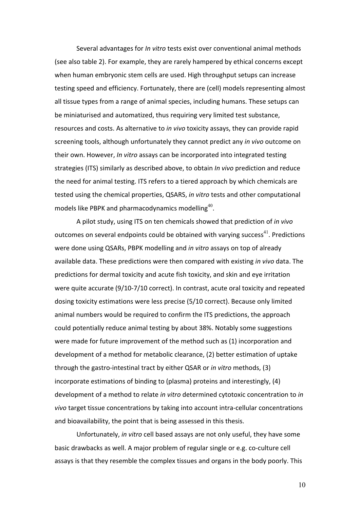Several advantages for *In vitro* tests exist over conventional animal methods (see also table 2). For example, they are rarely hampered by ethical concerns except when human embryonic stem cells are used. High throughput setups can increase testing speed and efficiency. Fortunately, there are (cell) models representing almost all tissue types from a range of animal species, including humans. These setups can be miniaturised and automatized, thus requiring very limited test substance, resources and costs. As alternative to *in vivo* toxicity assays, they can provide rapid screening tools, although unfortunately they cannot predict any *in vivo* outcome on their own. However, *In vitro* assays can be incorporated into integrated testing strategies (ITS) similarly as described above, to obtain *In vivo* prediction and reduce the need for animal testing. ITS refers to a tiered approach by which chemicals are tested using the chemical properties, QSARS, *in vitro* tests and other computational models like PBPK and pharmacodynamics modelling<sup>40</sup>.

A pilot study, using ITS on ten chemicals showed that prediction of *in vivo* outcomes on several endpoints could be obtained with varying success<sup>41</sup>. Predictions were done using QSARs, PBPK modelling and *in vitro* assays on top of already available data. These predictions were then compared with existing *in vivo* data. The predictions for dermal toxicity and acute fish toxicity, and skin and eye irritation were quite accurate  $(9/10-7/10$  correct). In contrast, acute oral toxicity and repeated dosing toxicity estimations were less precise (5/10 correct). Because only limited animal numbers would be required to confirm the ITS predictions, the approach could potentially reduce animal testing by about 38%. Notably some suggestions were made for future improvement of the method such as (1) incorporation and development of a method for metabolic clearance, (2) better estimation of uptake through the gastro-intestinal tract by either QSAR or *in vitro* methods, (3) incorporate estimations of binding to (plasma) proteins and interestingly,  $(4)$ development of a method to relate *in vitro* determined cytotoxic concentration to *in vivo* target tissue concentrations by taking into account intra-cellular concentrations and bioavailability, the point that is being assessed in this thesis.

Unfortunately, *in vitro* cell based assays are not only useful, they have some basic drawbacks as well. A major problem of regular single or e.g. co-culture cell assays is that they resemble the complex tissues and organs in the body poorly. This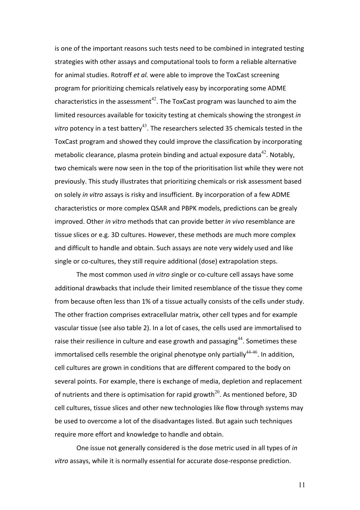is one of the important reasons such tests need to be combined in integrated testing strategies with other assays and computational tools to form a reliable alternative for animal studies. Rotroff et al. were able to improve the ToxCast screening program for prioritizing chemicals relatively easy by incorporating some ADME characteristics in the assessment<sup>42</sup>. The ToxCast program was launched to aim the limited resources available for toxicity testing at chemicals showing the strongest in *vitro* potency in a test battery<sup>43</sup>. The researchers selected 35 chemicals tested in the ToxCast program and showed they could improve the classification by incorporating metabolic clearance, plasma protein binding and actual exposure data<sup>42</sup>. Notably, two chemicals were now seen in the top of the prioritisation list while they were not previously. This study illustrates that prioritizing chemicals or risk assessment based on solely *in vitro* assays is risky and insufficient. By incorporation of a few ADME characteristics or more complex QSAR and PBPK models, predictions can be grealy improved. Other *in vitro* methods that can provide better *in vivo* resemblance are tissue slices or e.g. 3D cultures. However, these methods are much more complex and difficult to handle and obtain. Such assays are note very widely used and like single or co-cultures, they still require additional (dose) extrapolation steps.

The most common used *in vitro* single or co-culture cell assays have some additional drawbacks that include their limited resemblance of the tissue they come from because often less than 1% of a tissue actually consists of the cells under study. The other fraction comprises extracellular matrix, other cell types and for example vascular tissue (see also table 2). In a lot of cases, the cells used are immortalised to raise their resilience in culture and ease growth and passaging<sup>44</sup>. Sometimes these immortalised cells resemble the original phenotype only partially $44-46$ . In addition, cell cultures are grown in conditions that are different compared to the body on several points. For example, there is exchange of media, depletion and replacement of nutrients and there is optimisation for rapid growth<sup>20</sup>. As mentioned before, 3D cell cultures, tissue slices and other new technologies like flow through systems may be used to overcome a lot of the disadvantages listed. But again such techniques require more effort and knowledge to handle and obtain.

One issue not generally considered is the dose metric used in all types of *in* vitro assays, while it is normally essential for accurate dose-response prediction.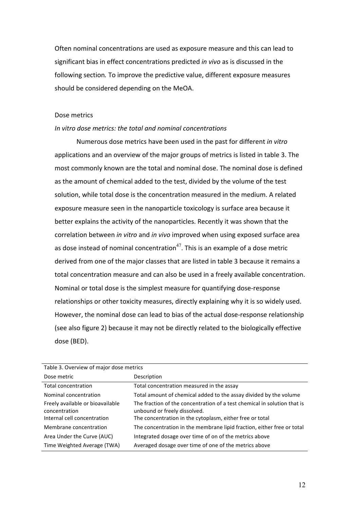Often nominal concentrations are used as exposure measure and this can lead to significant bias in effect concentrations predicted *in vivo* as is discussed in the following section. To improve the predictive value, different exposure measures should be considered depending on the MeOA.

### Dose metrics

## In vitro dose metrics: the total and nominal concentrations

Numerous dose metrics have been used in the past for different *in vitro* applications and an overview of the major groups of metrics is listed in table 3. The most commonly known are the total and nominal dose. The nominal dose is defined as the amount of chemical added to the test, divided by the volume of the test solution, while total dose is the concentration measured in the medium. A related exposure measure seen in the nanoparticle toxicology is surface area because it better explains the activity of the nanoparticles. Recently it was shown that the correlation between *in vitro* and *in vivo* improved when using exposed surface area as dose instead of nominal concentration<sup>47</sup>. This is an example of a dose metric derived from one of the major classes that are listed in table 3 because it remains a total concentration measure and can also be used in a freely available concentration. Nominal or total dose is the simplest measure for quantifying dose-response relationships or other toxicity measures, directly explaining why it is so widely used. However, the nominal dose can lead to bias of the actual dose-response relationship (see also figure 2) because it may not be directly related to the biologically effective dose (BED).

| Table 3. Overview of major dose metrics           |                                                                                                          |  |  |
|---------------------------------------------------|----------------------------------------------------------------------------------------------------------|--|--|
| Dose metric                                       | Description                                                                                              |  |  |
| Total concentration                               | Total concentration measured in the assay                                                                |  |  |
| Nominal concentration                             | Total amount of chemical added to the assay divided by the volume                                        |  |  |
| Freely available or bioavailable<br>concentration | The fraction of the concentration of a test chemical in solution that is<br>unbound or freely dissolved. |  |  |
| Internal cell concentration                       | The concentration in the cytoplasm, either free or total                                                 |  |  |
| Membrane concentration                            | The concentration in the membrane lipid fraction, either free or total                                   |  |  |
| Area Under the Curve (AUC)                        | Integrated dosage over time of on of the metrics above                                                   |  |  |
| Time Weighted Average (TWA)                       | Averaged dosage over time of one of the metrics above                                                    |  |  |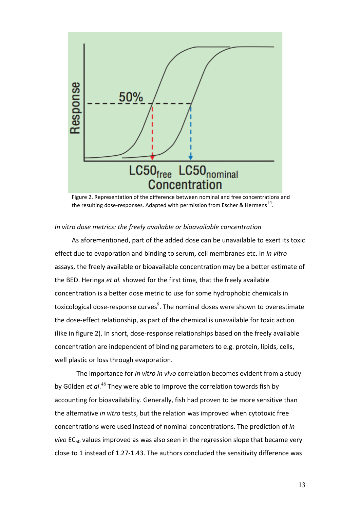

Figure 2. Representation of the difference between nominal and free concentrations and the resulting dose-responses. Adapted with permission from Escher & Hermens<sup>14</sup>.

## In vitro dose metrics: the freely available or bioavailable concentration

As aforementioned, part of the added dose can be unavailable to exert its toxic effect due to evaporation and binding to serum, cell membranes etc. In *in vitro* assays, the freely available or bioavailable concentration may be a better estimate of the BED. Heringa *et al.* showed for the first time, that the freely available concentration is a better dose metric to use for some hydrophobic chemicals in toxicological dose-response curves $^9$ . The nominal doses were shown to overestimate the dose-effect relationship, as part of the chemical is unavailable for toxic action (like in figure 2). In short, dose-response relationships based on the freely available concentration are independent of binding parameters to e.g. protein, lipids, cells, well plastic or loss through evaporation.

The importance for *in vitro in vivo* correlation becomes evident from a study by Gülden *et al*.<sup>48</sup> They were able to improve the correlation towards fish by accounting for bioavailability. Generally, fish had proven to be more sensitive than the alternative *in vitro* tests, but the relation was improved when cytotoxic free concentrations were used instead of nominal concentrations. The prediction of *in vivo* EC<sub>50</sub> values improved as was also seen in the regression slope that became very close to 1 instead of 1.27-1.43. The authors concluded the sensitivity difference was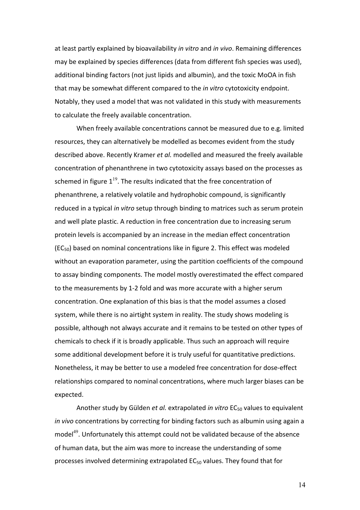at least partly explained by bioavailability *in vitro* and *in vivo*. Remaining differences may be explained by species differences (data from different fish species was used), additional binding factors (not just lipids and albumin), and the toxic MoOA in fish that may be somewhat different compared to the *in vitro* cytotoxicity endpoint. Notably, they used a model that was not validated in this study with measurements to calculate the freely available concentration.

When freely available concentrations cannot be measured due to e.g. limited resources, they can alternatively be modelled as becomes evident from the study described above. Recently Kramer *et al.* modelled and measured the freely available concentration of phenanthrene in two cytotoxicity assays based on the processes as schemed in figure  $1^{19}$ . The results indicated that the free concentration of phenanthrene, a relatively volatile and hydrophobic compound, is significantly reduced in a typical *in vitro* setup through binding to matrices such as serum protein and well plate plastic. A reduction in free concentration due to increasing serum protein levels is accompanied by an increase in the median effect concentration  $(EC_{50})$  based on nominal concentrations like in figure 2. This effect was modeled without an evaporation parameter, using the partition coefficients of the compound to assay binding components. The model mostly overestimated the effect compared to the measurements by 1-2 fold and was more accurate with a higher serum concentration. One explanation of this bias is that the model assumes a closed system, while there is no airtight system in reality. The study shows modeling is possible, although not always accurate and it remains to be tested on other types of chemicals to check if it is broadly applicable. Thus such an approach will require some additional development before it is truly useful for quantitative predictions. Nonetheless, it may be better to use a modeled free concentration for dose-effect relationships compared to nominal concentrations, where much larger biases can be expected.

Another study by Gülden *et al.* extrapolated *in vitro* EC<sub>50</sub> values to equivalent *in vivo* concentrations by correcting for binding factors such as albumin using again a model<sup>49</sup>. Unfortunately this attempt could not be validated because of the absence of human data, but the aim was more to increase the understanding of some processes involved determining extrapolated  $EC_{50}$  values. They found that for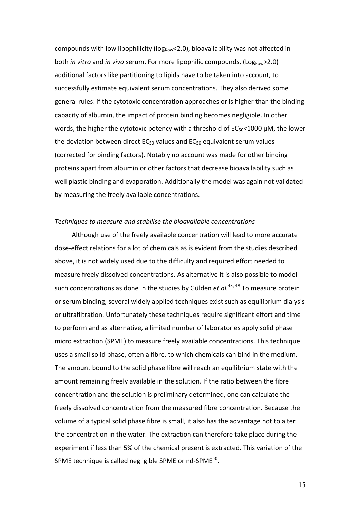compounds with low lipophilicity ( $log_{\text{Kow}}$ <2.0), bioavailability was not affected in both *in vitro* and *in vivo* serum. For more lipophilic compounds, (Log<sub>kow</sub>>2.0) additional factors like partitioning to lipids have to be taken into account, to successfully estimate equivalent serum concentrations. They also derived some general rules: if the cytotoxic concentration approaches or is higher than the binding capacity of albumin, the impact of protein binding becomes negligible. In other words, the higher the cytotoxic potency with a threshold of  $EC_{50}$ <1000 µM, the lower the deviation between direct  $EC_{50}$  values and  $EC_{50}$  equivalent serum values (corrected for binding factors). Notably no account was made for other binding proteins apart from albumin or other factors that decrease bioavailability such as well plastic binding and evaporation. Additionally the model was again not validated by measuring the freely available concentrations.

## Techniques to measure and stabilise the bioavailable concentrations

Although use of the freely available concentration will lead to more accurate dose-effect relations for a lot of chemicals as is evident from the studies described above, it is not widely used due to the difficulty and required effort needed to measure freely dissolved concentrations. As alternative it is also possible to model such concentrations as done in the studies by Gülden *et al.*<sup>48, 49</sup> To measure protein or serum binding, several widely applied techniques exist such as equilibrium dialysis or ultrafiltration. Unfortunately these techniques require significant effort and time to perform and as alternative, a limited number of laboratories apply solid phase micro extraction (SPME) to measure freely available concentrations. This technique uses a small solid phase, often a fibre, to which chemicals can bind in the medium. The amount bound to the solid phase fibre will reach an equilibrium state with the amount remaining freely available in the solution. If the ratio between the fibre concentration and the solution is preliminary determined, one can calculate the freely dissolved concentration from the measured fibre concentration. Because the volume of a typical solid phase fibre is small, it also has the advantage not to alter the concentration in the water. The extraction can therefore take place during the experiment if less than 5% of the chemical present is extracted. This variation of the SPME technique is called negligible SPME or nd-SPME $^{50}$ .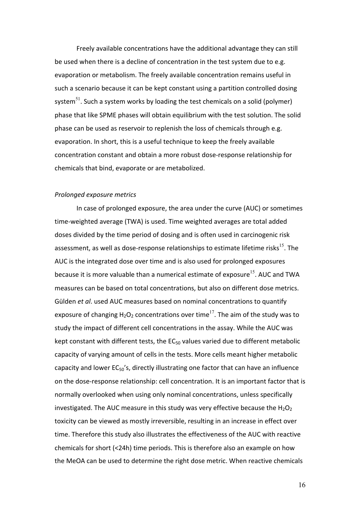Freely available concentrations have the additional advantage they can still be used when there is a decline of concentration in the test system due to e.g. evaporation or metabolism. The freely available concentration remains useful in such a scenario because it can be kept constant using a partition controlled dosing system<sup>51</sup>. Such a system works by loading the test chemicals on a solid (polymer) phase that like SPME phases will obtain equilibrium with the test solution. The solid phase can be used as reservoir to replenish the loss of chemicals through e.g. evaporation. In short, this is a useful technique to keep the freely available concentration constant and obtain a more robust dose-response relationship for chemicals that bind, evaporate or are metabolized.

# *Prolonged exposure metrics*

In case of prolonged exposure, the area under the curve (AUC) or sometimes time-weighted average (TWA) is used. Time weighted averages are total added doses divided by the time period of dosing and is often used in carcinogenic risk assessment, as well as dose-response relationships to estimate lifetime risks $^{15}$ . The AUC is the integrated dose over time and is also used for prolonged exposures because it is more valuable than a numerical estimate of exposure<sup>15</sup>. AUC and TWA measures can be based on total concentrations, but also on different dose metrics. Gülden *et al.* used AUC measures based on nominal concentrations to quantify exposure of changing  $H_2O_2$  concentrations over time<sup>17</sup>. The aim of the study was to study the impact of different cell concentrations in the assay. While the AUC was kept constant with different tests, the  $EC_{50}$  values varied due to different metabolic capacity of varying amount of cells in the tests. More cells meant higher metabolic capacity and lower  $EC_{50}$ 's, directly illustrating one factor that can have an influence on the dose-response relationship: cell concentration. It is an important factor that is normally overlooked when using only nominal concentrations, unless specifically investigated. The AUC measure in this study was very effective because the  $H_2O_2$ toxicity can be viewed as mostly irreversible, resulting in an increase in effect over time. Therefore this study also illustrates the effectiveness of the AUC with reactive chemicals for short  $(<24h)$  time periods. This is therefore also an example on how the MeOA can be used to determine the right dose metric. When reactive chemicals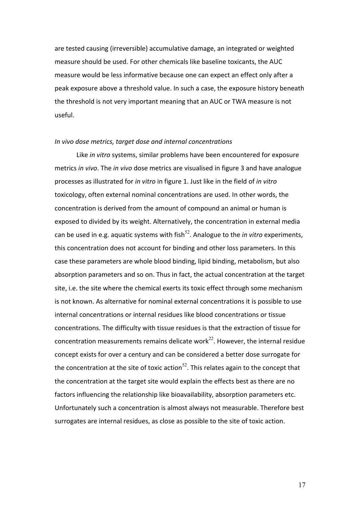are tested causing (irreversible) accumulative damage, an integrated or weighted measure should be used. For other chemicals like baseline toxicants, the AUC measure would be less informative because one can expect an effect only after a peak exposure above a threshold value. In such a case, the exposure history beneath the threshold is not very important meaning that an AUC or TWA measure is not useful.

#### In vivo dose metrics, target dose and internal concentrations

Like *in vitro* systems, similar problems have been encountered for exposure metrics in vivo. The in vivo dose metrics are visualised in figure 3 and have analogue processes as illustrated for *in vitro* in figure 1. Just like in the field of *in vitro* toxicology, often external nominal concentrations are used. In other words, the concentration is derived from the amount of compound an animal or human is exposed to divided by its weight. Alternatively, the concentration in external media can be used in e.g. aquatic systems with fish<sup>52</sup>. Analogue to the *in vitro* experiments, this concentration does not account for binding and other loss parameters. In this case these parameters are whole blood binding, lipid binding, metabolism, but also absorption parameters and so on. Thus in fact, the actual concentration at the target site, i.e. the site where the chemical exerts its toxic effect through some mechanism is not known. As alternative for nominal external concentrations it is possible to use internal concentrations or internal residues like blood concentrations or tissue concentrations. The difficulty with tissue residues is that the extraction of tissue for concentration measurements remains delicate work<sup>22</sup>. However, the internal residue concept exists for over a century and can be considered a better dose surrogate for the concentration at the site of toxic action<sup>52</sup>. This relates again to the concept that the concentration at the target site would explain the effects best as there are no factors influencing the relationship like bioavailability, absorption parameters etc. Unfortunately such a concentration is almost always not measurable. Therefore best surrogates are internal residues, as close as possible to the site of toxic action.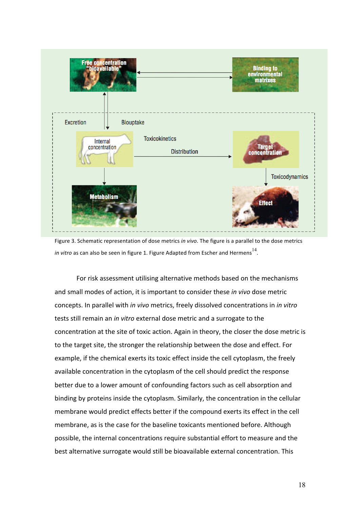

Figure 3. Schematic representation of dose metrics in vivo. The figure is a parallel to the dose metrics *in vitro* as can also be seen in figure 1. Figure Adapted from Escher and Hermens<sup>14</sup>.

For risk assessment utilising alternative methods based on the mechanisms and small modes of action, it is important to consider these *in vivo* dose metric concepts. In parallel with *in vivo* metrics, freely dissolved concentrations in *in vitro* tests still remain an *in vitro* external dose metric and a surrogate to the concentration at the site of toxic action. Again in theory, the closer the dose metric is to the target site, the stronger the relationship between the dose and effect. For example, if the chemical exerts its toxic effect inside the cell cytoplasm, the freely available concentration in the cytoplasm of the cell should predict the response better due to a lower amount of confounding factors such as cell absorption and binding by proteins inside the cytoplasm. Similarly, the concentration in the cellular membrane would predict effects better if the compound exerts its effect in the cell membrane, as is the case for the baseline toxicants mentioned before. Although possible, the internal concentrations require substantial effort to measure and the best alternative surrogate would still be bioavailable external concentration. This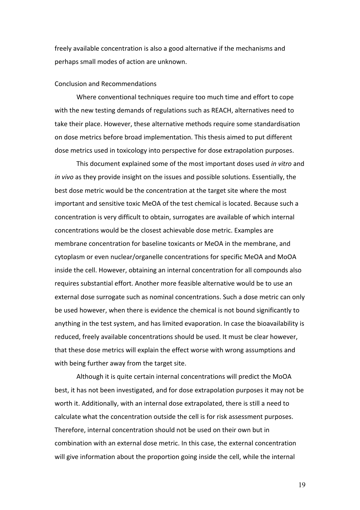freely available concentration is also a good alternative if the mechanisms and perhaps small modes of action are unknown.

## Conclusion and Recommendations

Where conventional techniques require too much time and effort to cope with the new testing demands of regulations such as REACH, alternatives need to take their place. However, these alternative methods require some standardisation on dose metrics before broad implementation. This thesis aimed to put different dose metrics used in toxicology into perspective for dose extrapolation purposes.

This document explained some of the most important doses used *in vitro* and *in vivo* as they provide insight on the issues and possible solutions. Essentially, the best dose metric would be the concentration at the target site where the most important and sensitive toxic MeOA of the test chemical is located. Because such a concentration is very difficult to obtain, surrogates are available of which internal concentrations would be the closest achievable dose metric. Examples are membrane concentration for baseline toxicants or MeOA in the membrane, and cytoplasm or even nuclear/organelle concentrations for specific MeOA and MoOA inside the cell. However, obtaining an internal concentration for all compounds also requires substantial effort. Another more feasible alternative would be to use an external dose surrogate such as nominal concentrations. Such a dose metric can only be used however, when there is evidence the chemical is not bound significantly to anything in the test system, and has limited evaporation. In case the bioavailability is reduced, freely available concentrations should be used. It must be clear however, that these dose metrics will explain the effect worse with wrong assumptions and with being further away from the target site.

Although it is quite certain internal concentrations will predict the MoOA best, it has not been investigated, and for dose extrapolation purposes it may not be worth it. Additionally, with an internal dose extrapolated, there is still a need to calculate what the concentration outside the cell is for risk assessment purposes. Therefore, internal concentration should not be used on their own but in combination with an external dose metric. In this case, the external concentration will give information about the proportion going inside the cell, while the internal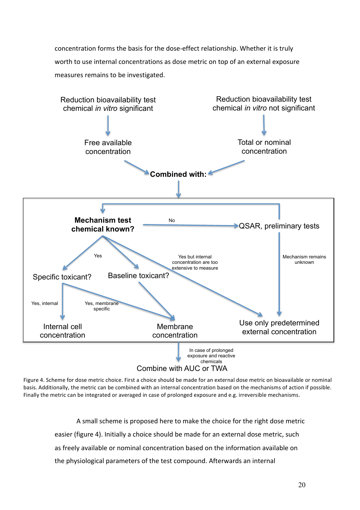concentration forms the basis for the dose-effect relationship. Whether it is truly worth to use internal concentrations as dose metric on top of an external exposure measures remains to be investigated.



Figure 4. Scheme for dose metric choice. First a choice should be made for an external dose metric on bioavailable or nominal basis. Additionally, the metric can be combined with an internal concentration based on the mechanisms of action if possible. Finally the metric can be integrated or averaged in case of prolonged exposure and e.g. irreversible mechanisms.

> A small scheme is proposed here to make the choice for the right dose metric easier (figure 4). Initially a choice should be made for an external dose metric, such as freely available or nominal concentration based on the information available on the physiological parameters of the test compound. Afterwards an internal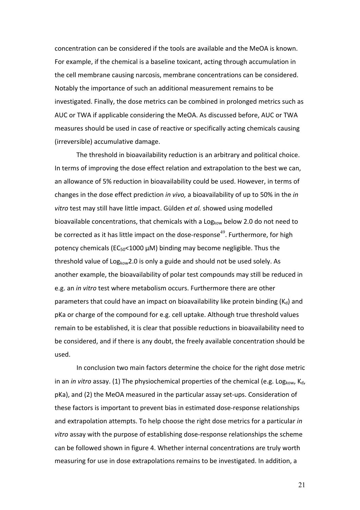concentration can be considered if the tools are available and the MeOA is known. For example, if the chemical is a baseline toxicant, acting through accumulation in the cell membrane causing narcosis, membrane concentrations can be considered. Notably the importance of such an additional measurement remains to be investigated. Finally, the dose metrics can be combined in prolonged metrics such as AUC or TWA if applicable considering the MeOA. As discussed before, AUC or TWA measures should be used in case of reactive or specifically acting chemicals causing (irreversible) accumulative damage.

The threshold in bioavailability reduction is an arbitrary and political choice. In terms of improving the dose effect relation and extrapolation to the best we can, an allowance of 5% reduction in bioavailability could be used. However, in terms of changes in the dose effect prediction *in vivo*, a bioavailability of up to 50% in the *in* vitro test may still have little impact. Gülden et al. showed using modelled bioavailable concentrations, that chemicals with a Log<sub>kow</sub> below 2.0 do not need to be corrected as it has little impact on the dose-response<sup>49</sup>. Furthermore, for high potency chemicals ( $EC_{50}$ <1000  $\mu$ M) binding may become negligible. Thus the threshold value of  $Log_{kow}$ 2.0 is only a guide and should not be used solely. As another example, the bioavailability of polar test compounds may still be reduced in e.g. an *in vitro* test where metabolism occurs. Furthermore there are other parameters that could have an impact on bioavailability like protein binding  $(K_d)$  and pKa or charge of the compound for e.g. cell uptake. Although true threshold values remain to be established, it is clear that possible reductions in bioavailability need to be considered, and if there is any doubt, the freely available concentration should be used. 

In conclusion two main factors determine the choice for the right dose metric in an *in vitro* assay. (1) The physiochemical properties of the chemical (e.g. Log<sub>kow</sub>, K<sub>d</sub>, pKa), and (2) the MeOA measured in the particular assay set-ups. Consideration of these factors is important to prevent bias in estimated dose-response relationships and extrapolation attempts. To help choose the right dose metrics for a particular *in* vitro assay with the purpose of establishing dose-response relationships the scheme can be followed shown in figure 4. Whether internal concentrations are truly worth measuring for use in dose extrapolations remains to be investigated. In addition, a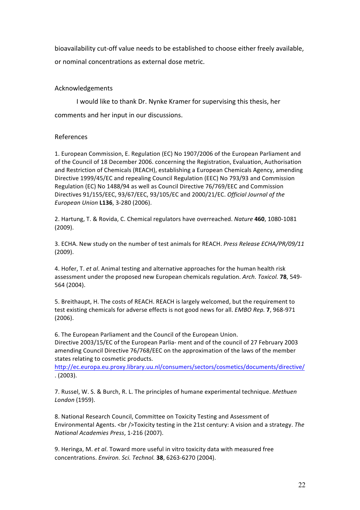bioavailability cut-off value needs to be established to choose either freely available, or nominal concentrations as external dose metric.

# Acknowledgements

I would like to thank Dr. Nynke Kramer for supervising this thesis, her comments and her input in our discussions.

# References

1. European Commission, E. Regulation (EC) No 1907/2006 of the European Parliament and of the Council of 18 December 2006. concerning the Registration, Evaluation, Authorisation and Restriction of Chemicals (REACH), establishing a European Chemicals Agency, amending Directive 1999/45/EC and repealing Council Regulation (EEC) No 793/93 and Commission Regulation (EC) No 1488/94 as well as Council Directive 76/769/EEC and Commission Directives 91/155/EEC, 93/67/EEC, 93/105/EC and 2000/21/EC. *Official Journal of the European Union* **L136**, 3-280 (2006).

2. Hartung, T. & Rovida, C. Chemical regulators have overreached. *Nature* 460, 1080-1081 (2009).

3. ECHA. New study on the number of test animals for REACH. Press Release ECHA/PR/09/11 (2009).

4. Hofer, T. *et al.* Animal testing and alternative approaches for the human health risk assessment under the proposed new European chemicals regulation. Arch. Toxicol. 78, 549-564 (2004).

5. Breithaupt, H. The costs of REACH. REACH is largely welcomed, but the requirement to test existing chemicals for adverse effects is not good news for all. *EMBO Rep.* **7**, 968-971 (2006).

6. The European Parliament and the Council of the European Union. Directive 2003/15/EC of the European Parlia- ment and of the council of 27 February 2003 amending Council Directive 76/768/EEC on the approximation of the laws of the member states relating to cosmetic products.

http://ec.europa.eu.proxy.library.uu.nl/consumers/sectors/cosmetics/documents/directive/  $. (2003).$ 

7. Russel, W. S. & Burch, R. L. The principles of humane experimental technique. Methuen *London* (1959).

8. National Research Council, Committee on Toxicity Testing and Assessment of Environmental Agents. <br />Toxicity testing in the 21st century: A vision and a strategy. The *National Academies Press*, 1-216 (2007).

9. Heringa, M. *et al*. Toward more useful in vitro toxicity data with measured free concentrations. *Environ. Sci. Technol.* **38**, 6263-6270 (2004).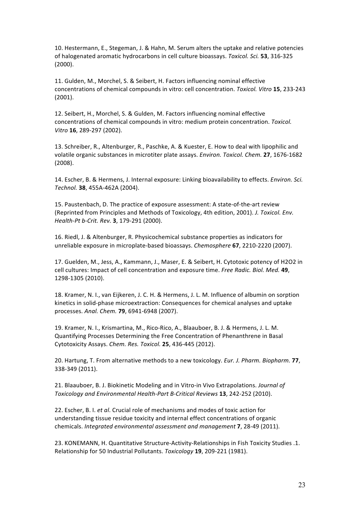10. Hestermann, E., Stegeman, J. & Hahn, M. Serum alters the uptake and relative potencies of halogenated aromatic hydrocarbons in cell culture bioassays. *Toxicol. Sci.* 53, 316-325 (2000).

11. Gulden, M., Morchel, S. & Seibert, H. Factors influencing nominal effective concentrations of chemical compounds in vitro: cell concentration. *Toxicol. Vitro* **15**, 233-243 (2001).

12. Seibert, H., Morchel, S. & Gulden, M. Factors influencing nominal effective concentrations of chemical compounds in vitro: medium protein concentration. *Toxicol. Vitro* **16**, 289-297 (2002).

13. Schreiber, R., Altenburger, R., Paschke, A. & Kuester, E. How to deal with lipophilic and volatile organic substances in microtiter plate assays. *Environ. Toxicol. Chem.* 27, 1676-1682 (2008).

14. Escher, B. & Hermens, J. Internal exposure: Linking bioavailability to effects. *Environ. Sci. Technol.* **38**, 455A-462A (2004).

15. Paustenbach, D. The practice of exposure assessment: A state-of-the-art review (Reprinted from Principles and Methods of Toxicology, 4th edition, 2001). *J. Toxicol. Env. Health-Pt b-Crit. Rev.* **3**, 179-291 (2000).

16. Riedl, J. & Altenburger, R. Physicochemical substance properties as indicators for unreliable exposure in microplate-based bioassays. *Chemosphere* 67, 2210-2220 (2007).

17. Guelden, M., Jess, A., Kammann, J., Maser, E. & Seibert, H. Cytotoxic potency of H2O2 in cell cultures: Impact of cell concentration and exposure time. *Free Radic. Biol. Med.* 49, 1298-1305 (2010).

18. Kramer, N. I., van Eijkeren, J. C. H. & Hermens, J. L. M. Influence of albumin on sorption kinetics in solid-phase microextraction: Consequences for chemical analyses and uptake processes. *Anal. Chem.* **79**, 6941-6948 (2007).

19. Kramer, N. I., Krismartina, M., Rico-Rico, A., Blaauboer, B. J. & Hermens, J. L. M. Quantifying Processes Determining the Free Concentration of Phenanthrene in Basal Cytotoxicity Assays. *Chem. Res. Toxicol.* **25**, 436-445 (2012).

20. Hartung, T. From alternative methods to a new toxicology. *Eur. J. Pharm. Biopharm.* **77**, 338-349 (2011).

21. Blaauboer, B. J. Biokinetic Modeling and in Vitro-in Vivo Extrapolations. *Journal of Toxicology and Environmental Health-Part B-Critical Reviews* **13**, 242-252 (2010).

22. Escher, B. I. *et al*. Crucial role of mechanisms and modes of toxic action for understanding tissue residue toxicity and internal effect concentrations of organic chemicals. *Integrated environmental assessment and management* **7**, 28-49 (2011).

23. KONEMANN, H. Quantitative Structure-Activity-Relationships in Fish Toxicity Studies .1. Relationship for 50 Industrial Pollutants. *Toxicology* 19, 209-221 (1981).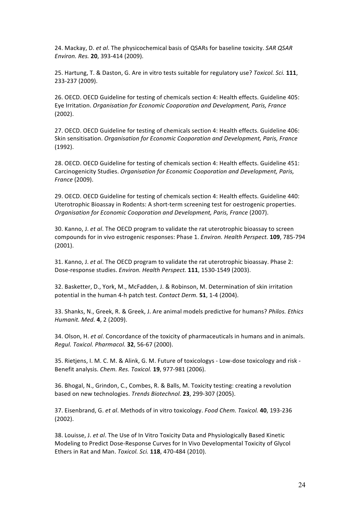24. Mackay, D. *et al.* The physicochemical basis of QSARs for baseline toxicity. *SAR QSAR Environ. Res.* **20**, 393-414 (2009).

25. Hartung, T. & Daston, G. Are in vitro tests suitable for regulatory use? *Toxicol. Sci.* **111**, 233-237 (2009).

26. OECD. OECD Guideline for testing of chemicals section 4: Health effects. Guideline 405: Eye Irritation. *Organisation for Economic Cooporation and Development, Paris, France* (2002).

27. OECD. OECD Guideline for testing of chemicals section 4: Health effects. Guideline 406: Skin sensitisation. *Organisation for Economic Cooporation and Development, Paris, France* (1992).

28. OECD. OECD Guideline for testing of chemicals section 4: Health effects. Guideline 451: Carcinogenicity Studies. *Organisation for Economic Cooporation and Development, Paris, France* (2009).

29. OECD. OECD Guideline for testing of chemicals section 4: Health effects. Guideline 440: Uterotrophic Bioassay in Rodents: A short-term screening test for oestrogenic properties. *Organisation for Economic Cooporation and Development, Paris, France* (2007).

30. Kanno, J. *et al*. The OECD program to validate the rat uterotrophic bioassay to screen compounds for in vivo estrogenic responses: Phase 1. *Environ. Health Perspect*. 109, 785-794 (2001).

31. Kanno, J. et al. The OECD program to validate the rat uterotrophic bioassay. Phase 2: Dose-response studies. *Environ. Health Perspect.* **111**, 1530-1549 (2003).

32. Basketter, D., York, M., McFadden, J. & Robinson, M. Determination of skin irritation potential in the human 4-h patch test. *Contact Derm.* **51**, 1-4 (2004).

33. Shanks, N., Greek, R. & Greek, J. Are animal models predictive for humans? *Philos. Ethics Humanit. Med.* **4**, 2 (2009).

34. Olson, H. *et al.* Concordance of the toxicity of pharmaceuticals in humans and in animals. *Regul. Toxicol. Pharmacol.* **32**, 56-67 (2000).

35. Rietjens, I. M. C. M. & Alink, G. M. Future of toxicologys - Low-dose toxicology and risk -Benefit analysis. *Chem. Res. Toxicol.* **19**, 977-981 (2006).

36. Bhogal, N., Grindon, C., Combes, R. & Balls, M. Toxicity testing: creating a revolution based on new technologies. *Trends Biotechnol*. **23**, 299-307 (2005).

37. Eisenbrand, G. *et al.* Methods of in vitro toxicology. *Food Chem. Toxicol.* **40**, 193-236 (2002).

38. Louisse, J. *et al*. The Use of In Vitro Toxicity Data and Physiologically Based Kinetic Modeling to Predict Dose-Response Curves for In Vivo Developmental Toxicity of Glycol Ethers in Rat and Man. *Toxicol. Sci.* **118**, 470-484 (2010).